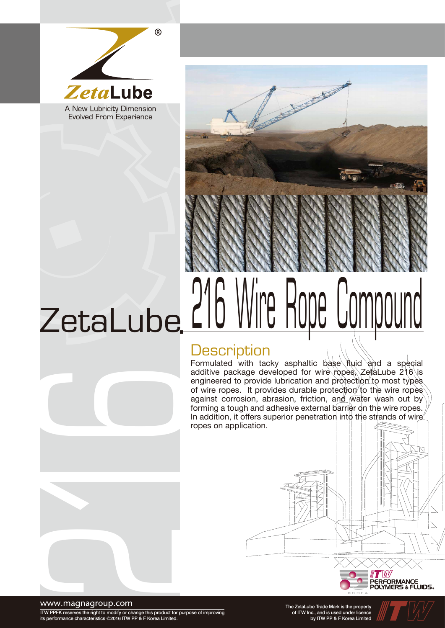



# LIU VVIIG TIUUG UUITIUUUTU

### **Description**

Formulated with tacky asphaltic base fluid and a special additive package developed for wire ropes, ZetaLube 216 is engineered to provide lubrication and protection to most types. of wire ropes. It provides durable protection to the wire ropes against corrosion, abrasion, friction, and water wash out by forming a tough and adhesive external barrier on the wire ropes. In addition, it offers superior penetration into the strands of wire ropes on application.





#### www.magnagroup.com

ITW PPFK reserves the right to modify or change this product for purpose of improving its performance characteristics ©2016 ITW PP & F Korea Limited.

The ZetaLube Trade Mark is the property of ITW Inc., and is used under licence by ITW PP & F Korea Limited